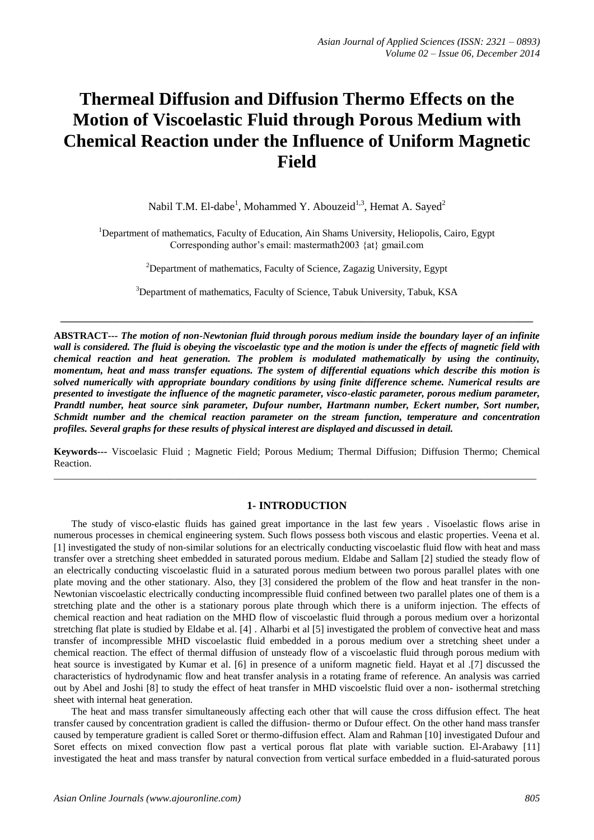# **Thermeal Diffusion and Diffusion Thermo Effects on the Motion of Viscoelastic Fluid through Porous Medium with Chemical Reaction under the Influence of Uniform Magnetic Field**

Nabil T.M. El-dabe<sup>1</sup>, Mohammed Y. Abouzeid<sup>1,3</sup>, Hemat A. Sayed<sup>2</sup>

<sup>1</sup>Department of mathematics, Faculty of Education, Ain Shams University, Heliopolis, Cairo, Egypt Corresponding author's email: mastermath2003 {at} gmail.com

 $2$ Department of mathematics, Faculty of Science, Zagazig University, Egypt

<sup>3</sup>Department of mathematics, Faculty of Science, Tabuk University, Tabuk, KSA

**\_\_\_\_\_\_\_\_\_\_\_\_\_\_\_\_\_\_\_\_\_\_\_\_\_\_\_\_\_\_\_\_\_\_\_\_\_\_\_\_\_\_\_\_\_\_\_\_\_\_\_\_\_\_\_\_\_\_\_\_\_\_\_\_\_\_\_\_\_\_\_\_\_\_\_\_\_\_\_\_\_\_\_\_\_\_\_\_\_\_\_\_\_\_**

**ABSTRACT***--- The motion of non-Newtonian fluid through porous medium inside the boundary layer of an infinite wall is considered. The fluid is obeying the viscoelastic type and the motion is under the effects of magnetic field with chemical reaction and heat generation. The problem is modulated mathematically by using the continuity, momentum, heat and mass transfer equations. The system of differential equations which describe this motion is solved numerically with appropriate boundary conditions by using finite difference scheme. Numerical results are presented to investigate the influence of the magnetic parameter, visco-elastic parameter, porous medium parameter, Prandtl number, heat source sink parameter, Dufour number, Hartmann number, Eckert number, Sort number, Schmidt number and the chemical reaction parameter on the stream function, temperature and concentration profiles. Several graphs for these results of physical interest are displayed and discussed in detail.*

**Keywords---** Viscoelasic Fluid ; Magnetic Field; Porous Medium; Thermal Diffusion; Diffusion Thermo; Chemical Reaction. \_\_\_\_\_\_\_\_\_\_\_\_\_\_\_\_\_\_\_\_\_\_\_\_\_\_\_\_\_\_\_\_\_\_\_\_\_\_\_\_\_\_\_\_\_\_\_\_\_\_\_\_\_\_\_\_\_\_\_\_\_\_\_\_\_\_\_\_\_\_\_\_\_\_\_\_\_\_\_\_\_\_\_\_\_\_\_\_\_\_\_\_\_\_\_\_

### **1- INTRODUCTION**

 The study of visco-elastic fluids has gained great importance in the last few years . Visoelastic flows arise in numerous processes in chemical engineering system. Such flows possess both viscous and elastic properties. Veena et al. [1] investigated the study of non-similar solutions for an electrically conducting viscoelastic fluid flow with heat and mass transfer over a stretching sheet embedded in saturated porous medium. Eldabe and Sallam [2] studied the steady flow of an electrically conducting viscoelastic fluid in a saturated porous medium between two porous parallel plates with one plate moving and the other stationary. Also, they [3] considered the problem of the flow and heat transfer in the non-Newtonian viscoelastic electrically conducting incompressible fluid confined between two parallel plates one of them is a stretching plate and the other is a stationary porous plate through which there is a uniform injection. The effects of chemical reaction and heat radiation on the MHD flow of viscoelastic fluid through a porous medium over a horizontal stretching flat plate is studied by Eldabe et al. [4] . Alharbi et al [5] investigated the problem of convective heat and mass transfer of incompressible MHD viscoelastic fluid embedded in a porous medium over a stretching sheet under a chemical reaction. The effect of thermal diffusion of unsteady flow of a viscoelastic fluid through porous medium with heat source is investigated by Kumar et al. [6] in presence of a uniform magnetic field. Hayat et al .[7] discussed the characteristics of hydrodynamic flow and heat transfer analysis in a rotating frame of reference. An analysis was carried out by Abel and Joshi [8] to study the effect of heat transfer in MHD viscoelstic fluid over a non- isothermal stretching sheet with internal heat generation.

 The heat and mass transfer simultaneously affecting each other that will cause the cross diffusion effect. The heat transfer caused by concentration gradient is called the diffusion- thermo or Dufour effect. On the other hand mass transfer caused by temperature gradient is called Soret or thermo-diffusion effect. Alam and Rahman [10] investigated Dufour and Soret effects on mixed convection flow past a vertical porous flat plate with variable suction. El-Arabawy [11] investigated the heat and mass transfer by natural convection from vertical surface embedded in a fluid-saturated porous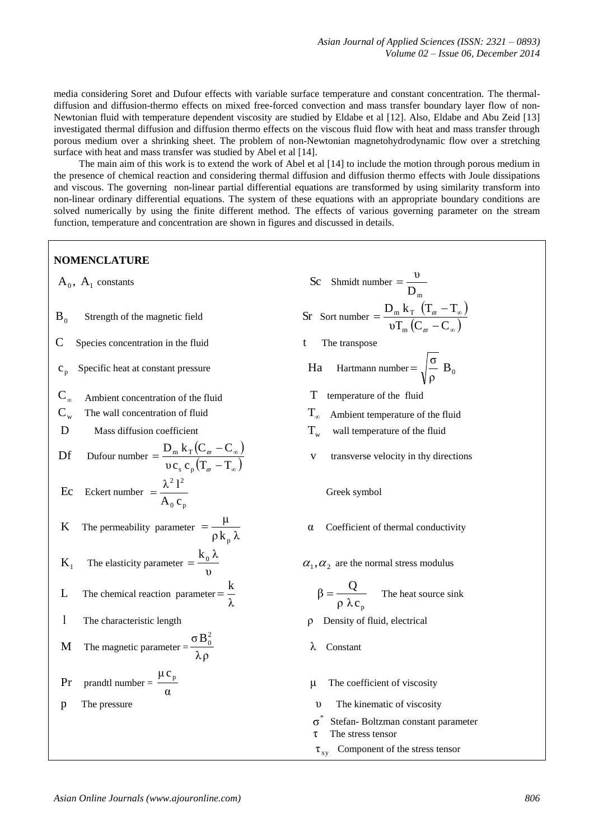media considering Soret and Dufour effects with variable surface temperature and constant concentration. The thermaldiffusion and diffusion-thermo effects on mixed free-forced convection and mass transfer boundary layer flow of non-Newtonian fluid with temperature dependent viscosity are studied by Eldabe et al [12]. Also, Eldabe and Abu Zeid [13] investigated thermal diffusion and diffusion thermo effects on the viscous fluid flow with heat and mass transfer through porous medium over a shrinking sheet. The problem of non-Newtonian magnetohydrodynamic flow over a stretching surface with heat and mass transfer was studied by Abel et al [14].

 The main aim of this work is to extend the work of Abel et al [14] to include the motion through porous medium in the presence of chemical reaction and considering thermal diffusion and diffusion thermo effects with Joule dissipations and viscous. The governing non-linear partial differential equations are transformed by using similarity transform into non-linear ordinary differential equations. The system of these equations with an appropriate boundary conditions are solved numerically by using the finite different method. The effects of various governing parameter on the stream function, temperature and concentration are shown in figures and discussed in details.

# **NOMENCLATURE**

 $A_0$ ,  $A_1$  constants

- $B_0$ Strength of the magnetic field
- $C$  Species concentration in the fluid t The transpose
- $C_n$ Specific heat at constant pressure Ha
- $\mathbf{C}_{\alpha}$ Ambient concentration of the fluid  $\Gamma$  temperature of the fluid
- $C_{\mathrm{w}}$
- $D$  Mass diffusion coefficient  $T_w$

$$
\text{Df} \qquad \text{Dufour number} = \frac{\text{D}_{\text{m}} \, \text{k}_{\text{T}} \big( \text{C}_{\varpi} - \text{C}_{\varpi} \big)}{\upsilon \, \text{c}_{\text{s}} \, \text{c}_{\text{p}} \big( \text{T}_{\varpi} - \text{T}_{\varpi} \big)}
$$

$$
\text{Ec} \quad \text{Eckert number} \ = \frac{\lambda^2 \, \mathbf{l}^2}{\mathbf{A}_0 \, \mathbf{c}_p}
$$

K The permeability parameter 
$$
=\frac{\mu}{\rho k_p \lambda}
$$

- $K<sub>1</sub>$ The elasticity parameter  $=$   $\frac{10}{v}$  $=\frac{k_0 \lambda}{\mu}$   $\alpha_1, \alpha_2$
- L The chemical reaction parameter λ  $=\frac{k}{k}$
- l

M The magnetic parameter = 
$$
\frac{\sigma B_0^2}{\lambda \rho}
$$

$$
Pr \quad \text{prandtl number} = \frac{\mu c_p}{\alpha}
$$

 $\ddot{\phantom{a}}$ 

- constants Sc Shmidt number  $D_{m}$  $=\frac{v}{\sqrt{2}}$  $(T_{\pi}-T_{\infty})$  $(C_{\varpi}-C_{\infty})$  $\infty$  $\overline{a}$  $\overline{a}$  $=$ υ $T_m(C_\pi - C)$  $D_m k_T (T_m - T)$ m  $m$   $\mathbf{r}$ ω  $\varpi$  $\frac{6}{\rho}$  B<sub>0</sub>  $=\sqrt{\frac{\sigma}{\rho}} B_0$ The wall concentration of fluid  $T_{\infty}$  Ambient temperature of the fluid
	- wall temperature of the fluid
	- v transverse velocity in thy directions
		- Greek symbol
	- α Coefficient of thermal conductivity
	- $\alpha_1, \alpha_2$  are the normal stress modulus

$$
\beta = \frac{Q}{\rho \lambda c_{p}}
$$
 The heat source sink

- The characteristic length *ρ* Density of fluid, electrical
	- λ Constant
	- μ The coefficient of viscosity
- p The pressure υ The kinematic of viscosity
	- \* σ Stefan- Boltzman constant parameter
	- τ The stress tensor
	- $\tau_{xy}$  Component of the stress tensor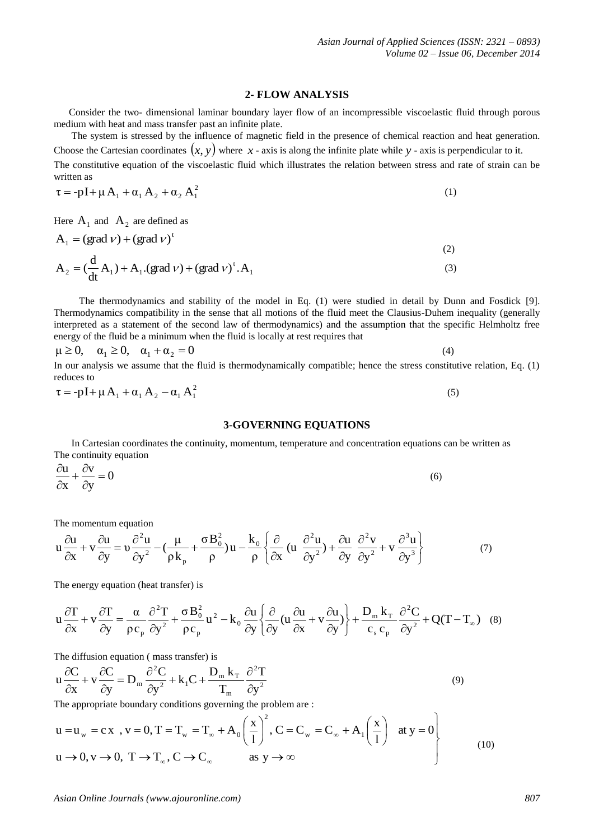## **2- FLOW ANALYSIS**

 Consider the two- dimensional laminar boundary layer flow of an incompressible viscoelastic fluid through porous medium with heat and mass transfer past an infinite plate.

 The system is stressed by the influence of magnetic field in the presence of chemical reaction and heat generation. Choose the Cartesian coordinates  $(x, y)$  where  $x$ -axis is along the infinite plate while  $y$ -axis is perpendicular to it.

The constitutive equation of the viscoelastic fluid which illustrates the relation between stress and rate of strain can be written as

$$
\tau = -pI + \mu A_1 + \alpha_1 A_2 + \alpha_2 A_1^2 \tag{1}
$$

Here  $A_1$  and  $A_2$  are defined as

$$
A_1 = (grad \nu) + (grad \nu)^t
$$
  
\n
$$
A_2 = (\frac{d}{dt} A_1) + A_1 (grad \nu) + (grad \nu)^t . A_1
$$
\n(3)

 The thermodynamics and stability of the model in Eq. (1) were studied in detail by Dunn and Fosdick [9]. Thermodynamics compatibility in the sense that all motions of the fluid meet the Clausius-Duhem inequality (generally interpreted as a statement of the second law of thermodynamics) and the assumption that the specific Helmholtz free energy of the fluid be a minimum when the fluid is locally at rest requires that

$$
\mu \ge 0
$$
,  $\alpha_1 \ge 0$ ,  $\alpha_1 + \alpha_2 = 0$  (4) In our analysis we assume that the fluid is thermodynamically compatible; hence the stress constitutive relation, Eq. (1)

reduces to

$$
\tau = -pI + \mu A_1 + \alpha_1 A_2 - \alpha_1 A_1^2 \tag{5}
$$

#### **3-GOVERNING EQUATIONS**

 In Cartesian coordinates the continuity, momentum, temperature and concentration equations can be written as The continuity equation

$$
\frac{\partial u}{\partial x} + \frac{\partial v}{\partial y} = 0
$$
\n(6)

The momentum equation

$$
u\frac{\partial u}{\partial x} + v\frac{\partial u}{\partial y} = v\frac{\partial^2 u}{\partial y^2} - \left(\frac{\mu}{\rho k_p} + \frac{\sigma B_0^2}{\rho}\right)u - \frac{k_0}{\rho}\left\{\frac{\partial}{\partial x}\left(u\frac{\partial^2 u}{\partial y^2}\right) + \frac{\partial u}{\partial y}\frac{\partial^2 v}{\partial y^2} + v\frac{\partial^3 u}{\partial y^3}\right\}
$$
(7)

The energy equation (heat transfer) is

$$
u\frac{\partial T}{\partial x} + v\frac{\partial T}{\partial y} = \frac{\alpha}{\rho c_p} \frac{\partial^2 T}{\partial y^2} + \frac{\sigma B_0^2}{\rho c_p} u^2 - k_0 \frac{\partial u}{\partial y} \left\{ \frac{\partial}{\partial y} \left( u \frac{\partial u}{\partial x} + v \frac{\partial u}{\partial y} \right) \right\} + \frac{D_m k_T}{c_s c_p} \frac{\partial^2 C}{\partial y^2} + Q(T - T_\infty) \quad (8)
$$

The diffusion equation ( mass transfer) is

$$
u\frac{\partial C}{\partial x} + v\frac{\partial C}{\partial y} = D_m \frac{\partial^2 C}{\partial y^2} + k_1 C + \frac{D_m k_T}{T_m} \frac{\partial^2 T}{\partial y^2}
$$
(9)

The appropriate boundary conditions governing the problem are :

$$
u = u_w = cx \text{ , } v = 0, T = T_w = T_\infty + A_0 \left(\frac{x}{1}\right)^2, C = C_w = C_\infty + A_1 \left(\frac{x}{1}\right) \text{ at } y = 0
$$
  
\n
$$
u \to 0, v \to 0, T \to T_\infty, C \to C_\infty \text{ as } y \to \infty
$$
\n(10)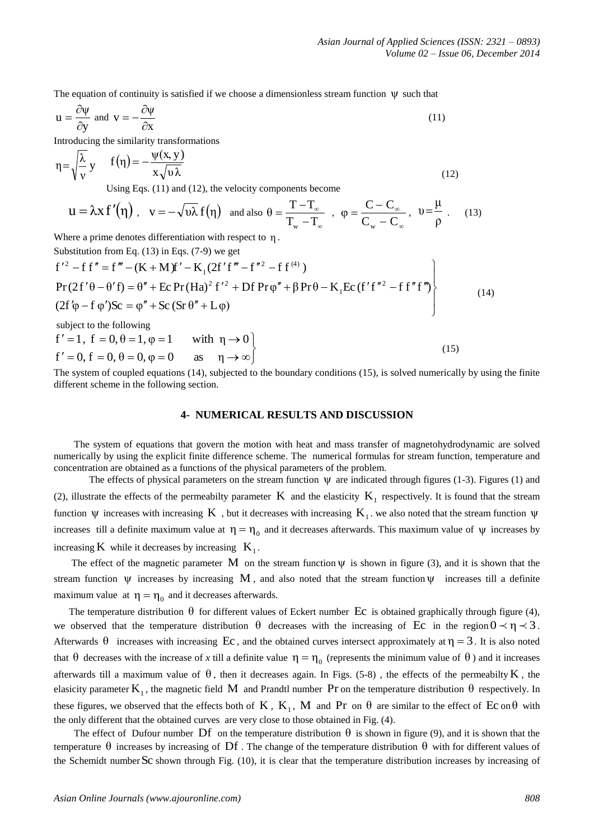The equation of continuity is satisfied if we choose a dimensionless stream function  $\psi$  such that

$$
u = \frac{\partial \psi}{\partial y} \text{ and } v = -\frac{\partial \psi}{\partial x}
$$
 (11)

Introducing the similarity transformations

$$
\eta = \sqrt{\frac{\lambda}{v}} y \qquad f(\eta) = -\frac{\psi(x, y)}{x\sqrt{v\lambda}}
$$
  
Using Eqs. (11) and (12), the velocity components become

 $u = \lambda x f'(\eta)$ ,  $v = -\sqrt{\nu \lambda} f(\eta)$  and also œ œ  $\overline{a}$  $=\frac{T-}{T}$  $T_{\rm w}$  –T  $\theta = \frac{T - T_s}{T}$ w ,  $\infty$  $\infty$  $\overline{a}$  $=\frac{C-}{C}$  $C_w - C$  $\varphi = \frac{C - C}{2}$ w  $, v = \frac{1}{\rho}$ μ  $v = \frac{\mu}{r}$  . (13)

Where a prime denotes differentiation with respect to η .

$$
T_w - T_\infty
$$
 
$$
C_w - C_\infty
$$
 
$$
\rho
$$
  
Where a prime denotes differentiation with respect to η.  
Substitution from Eq. (13) in Eqs. (7-9) we get  

$$
f'^2 - f f'' = f''' - (K + M)f' - K_1(2f'f''' - f''^2 - f f^{(4)})
$$
  
Pr(2f'θ - θ'f) = θ'' + Ec Pr(Ha)<sup>2</sup> f'<sup>2</sup> + Df Pr φ'' + β Pr θ – K<sub>1</sub>Ec (f'f''<sup>2</sup> – f f''f")  
(14)  
(2f'φ – f φ')Sc = φ'' + Sc (Sr θ'' + Lφ)

subject to the following

$$
f' = 1, f = 0, \theta = 1, \varphi = 1 \quad \text{with } \eta \to 0
$$
  

$$
f' = 0, f = 0, \theta = 0, \varphi = 0 \quad \text{as } \eta \to \infty
$$
 (15)

The system of coupled equations (14), subjected to the boundary conditions (15), is solved numerically by using the finite different scheme in the following section.

#### **4- NUMERICAL RESULTS AND DISCUSSION**

 The system of equations that govern the motion with heat and mass transfer of magnetohydrodynamic are solved numerically by using the explicit finite difference scheme. The numerical formulas for stream function, temperature and concentration are obtained as a functions of the physical parameters of the problem.

The effects of physical parameters on the stream function  $\psi$  are indicated through figures (1-3). Figures (1) and (2), illustrate the effects of the permeabilty parameter  $K$  and the elasticity  $K_1$  respectively. It is found that the stream function  $\psi$  increases with increasing K, but it decreases with increasing K<sub>1</sub>. we also noted that the stream function  $\psi$ increases till a definite maximum value at  $\eta = \eta_0$  and it decreases afterwards. This maximum value of  $\psi$  increases by increasing  $K$  while it decreases by increasing  $K_1$ .

The effect of the magnetic parameter M on the stream function  $\psi$  is shown in figure (3), and it is shown that the stream function  $\psi$  increases by increasing M, and also noted that the stream function  $\psi$  increases till a definite maximum value at  $\eta = \eta_0$  and it decreases afterwards.

The temperature distribution  $\theta$  for different values of Eckert number Ec is obtained graphically through figure (4), we observed that the temperature distribution  $\theta$  decreases with the increasing of Ec in the region  $0 \lt \eta \lt 3$ . Afterwards  $\theta$  increases with increasing Ec, and the obtained curves intersect approximately at  $\eta = 3$ . It is also noted that  $\theta$  decreases with the increase of *x* till a definite value  $\eta = \eta_0$  (represents the minimum value of  $\theta$ ) and it increases afterwards till a maximum value of  $\theta$ , then it decreases again. In Figs. (5-8), the effects of the permeabilty K, the elasicity parameter  $K_1$ , the magnetic field M and Prandtl number Pr on the temperature distribution  $\theta$  respectively. In these figures, we observed that the effects both of K,  $K_1$ , M and Pr on  $\theta$  are similar to the effect of Ec on  $\theta$  with the only different that the obtained curves are very close to those obtained in Fig. (4).

The effect of Dufour number Df on the temperature distribution  $\theta$  is shown in figure (9), and it is shown that the temperature  $\theta$  increases by increasing of Df. The change of the temperature distribution  $\theta$  with for different values of the Schemidt number Sc shown through Fig. (10), it is clear that the temperature distribution increases by increasing of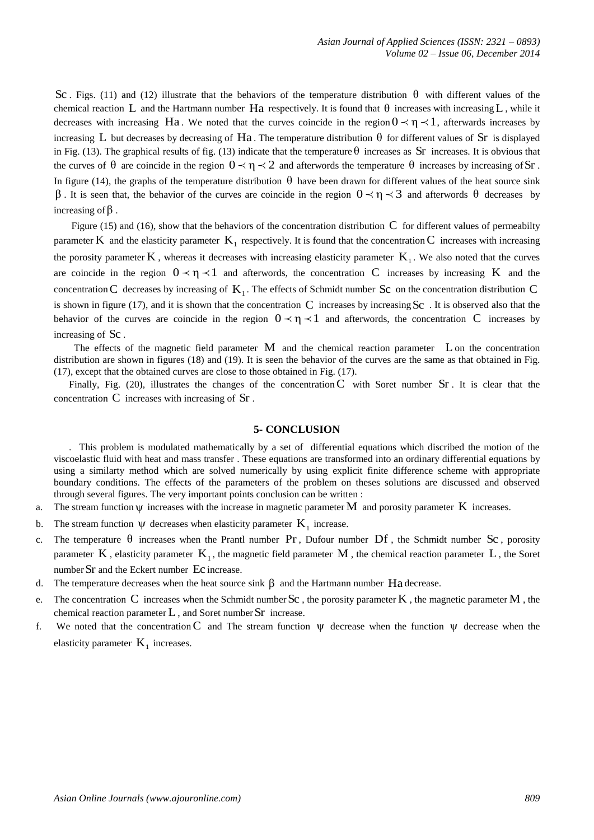**Sc.** Figs. (11) and 113) and 12) allows also the behaviors of the competitions of the temperature distribution of the temperature distribution of the temperature distribution of the temperature of the temperature distrib θ with different values of the chemical reaction L and the Hartmann number Ha respectively. It is found that  $\theta$  increases with increasing L, while it decreases with increasing Ha. We noted that the curves coincide in the region  $0 \lt \eta \lt 1$ , afterwards increases by increasing L but decreases by decreasing of Ha. The temperature distribution  $\theta$  for different values of Sr is displayed in Fig. (13). The graphical results of fig. (13) indicate that the temperature  $\theta$  increases as Sr increases. It is obvious that the curves of  $\theta$  are coincide in the region  $0 \lt \eta \lt 2$  and afterwords the temperature  $\theta$  increases by increasing of Sr. In figure (14), the graphs of the temperature distribution  $\theta$  have been drawn for different values of the heat source sink β. It is seen that, the behavior of the curves are coincide in the region  $0 \lt \eta \lt 3$  and afterwords  $\theta$  decreases by increasing of β .

Figure (15) and (16), show that the behaviors of the concentration distribution  $C$  for different values of permeabilty parameter K and the elasticity parameter  $K_1$  respectively. It is found that the concentration C increases with increasing the porosity parameter  $K$ , whereas it decreases with increasing elasticity parameter  $K_1$ . We also noted that the curves are coincide in the region  $0 \lt \eta \lt 1$  and afterwords, the concentration C increases by increasing K and the concentration C decreases by increasing of  $K_1$ . The effects of Schmidt number Sc on the concentration distribution C is shown in figure (17), and it is shown that the concentration  $C$  increases by increasing  $Sc$ . It is observed also that the behavior of the curves are coincide in the region  $0 \lt \eta \lt 1$  and afterwords, the concentration C increases by increasing of Sc .

 The effects of the magnetic field parameter M and the chemical reaction parameter L on the concentration distribution are shown in figures (18) and (19). It is seen the behavior of the curves are the same as that obtained in Fig. (17), except that the obtained curves are close to those obtained in Fig. (17).

Finally, Fig. (20), illustrates the changes of the concentration  $C$  with Soret number  $Sr$ . It is clear that the concentration C increases with increasing of Sr.

#### **5- CONCLUSION**

 . This problem is modulated mathematically by a set of differential equations which discribed the motion of the viscoelastic fluid with heat and mass transfer . These equations are transformed into an ordinary differential equations by using a similarty method which are solved numerically by using explicit finite difference scheme with appropriate boundary conditions. The effects of the parameters of the problem on theses solutions are discussed and observed through several figures. The very important points conclusion can be written :

- a. The stream function  $\psi$  increases with the increase in magnetic parameter M and porosity parameter K increases.
- b. The stream function  $\psi$  decreases when elasticity parameter  $K_1$  increase.
- c. The temperature  $\theta$  increases when the Prantl number Pr, Dufour number Df, the Schmidt number Sc, porosity parameter K, elasticity parameter  $K_1$ , the magnetic field parameter M, the chemical reaction parameter L, the Soret number Sr and the Eckert number Ec increase.
- d. The temperature decreases when the heat source sink  $\beta$  and the Hartmann number Ha decrease.
- e. The concentration C increases when the Schmidt number Sc, the porosity parameter K, the magnetic parameter M, the chemical reaction parameter  $L$ , and Soret number  $Sr$  increase.
- f. We noted that the concentration C and The stream function  $\psi$  decrease when the function  $\psi$  decrease when the elasticity parameter  $K_1$  increases.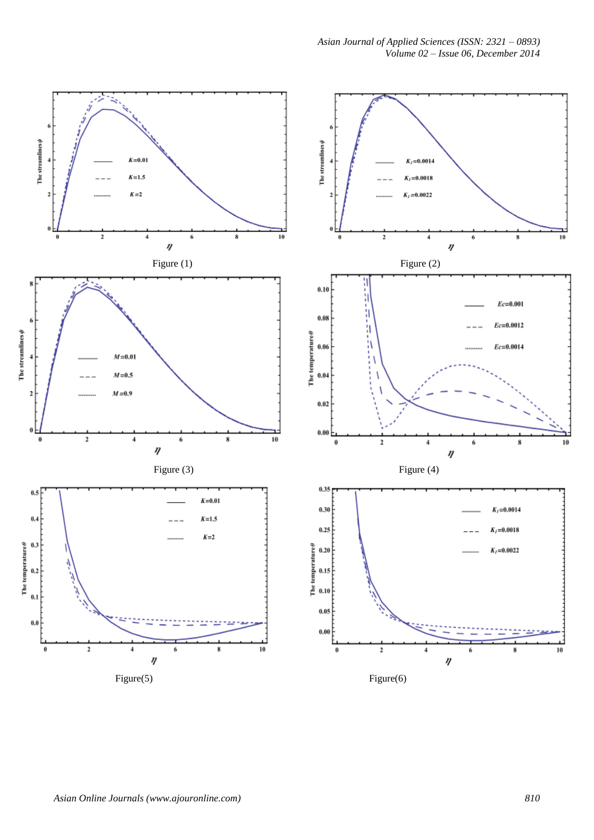*Asian Journal of Applied Sciences (ISSN: 2321 – 0893) Volume 02 – Issue 06, December 2014*

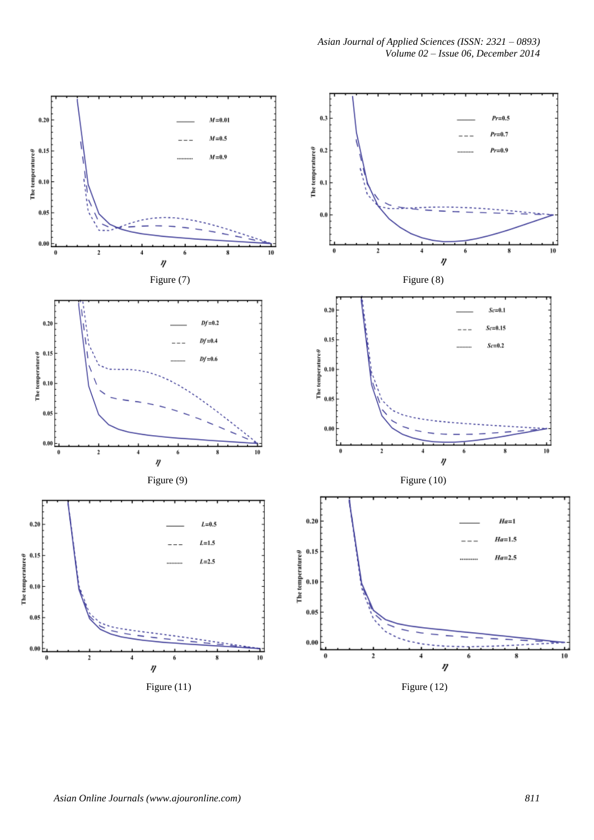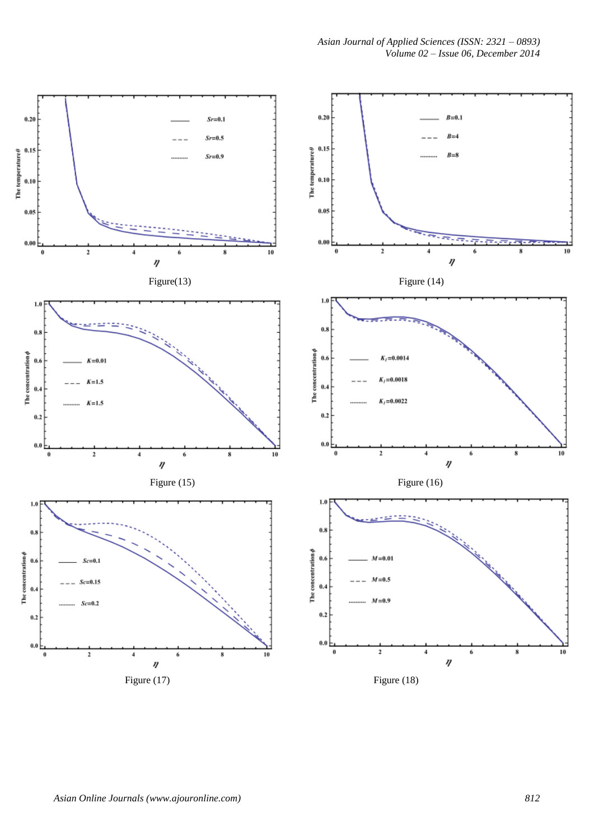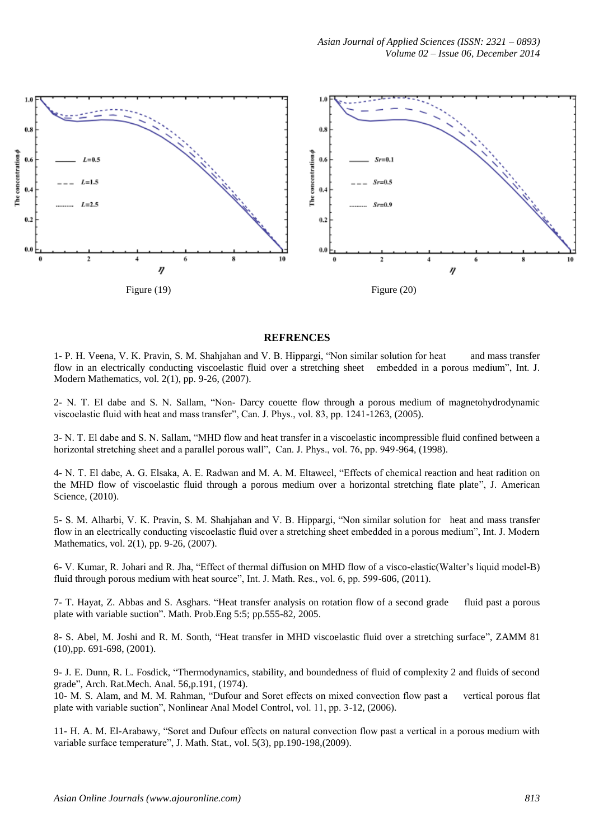*Asian Journal of Applied Sciences (ISSN: 2321 – 0893) Volume 02 – Issue 06, December 2014*



# **REFRENCES**

1- P. H. Veena, V. K. Pravin, S. M. Shahjahan and V. B. Hippargi, "Non similar solution for heat and mass transfer flow in an electrically conducting viscoelastic fluid over a stretching sheet embedded in a porous medium", Int. J. Modern Mathematics, vol. 2(1), pp. 9-26, (2007).

2- N. T. El dabe and S. N. Sallam, "Non- Darcy couette flow through a porous medium of magnetohydrodynamic viscoelastic fluid with heat and mass transfer", Can. J. Phys., vol. 83, pp. 1241-1263, (2005).

3- N. T. El dabe and S. N. Sallam, "MHD flow and heat transfer in a viscoelastic incompressible fluid confined between a horizontal stretching sheet and a parallel porous wall", Can. J. Phys., vol. 76, pp. 949-964, (1998).

4- N. T. El dabe, A. G. Elsaka, A. E. Radwan and M. A. M. Eltaweel, "Effects of chemical reaction and heat radition on the MHD flow of viscoelastic fluid through a porous medium over a horizontal stretching flate plate", J. American Science, (2010).

5- S. M. Alharbi, V. K. Pravin, S. M. Shahjahan and V. B. Hippargi, "Non similar solution for heat and mass transfer flow in an electrically conducting viscoelastic fluid over a stretching sheet embedded in a porous medium", Int. J. Modern Mathematics, vol. 2(1), pp. 9-26, (2007).

6- V. Kumar, R. Johari and R. Jha, "Effect of thermal diffusion on MHD flow of a visco-elastic(Walter's liquid model-B) fluid through porous medium with heat source", Int. J. Math. Res., vol. 6, pp. 599-606, (2011).

7- T. Hayat, Z. Abbas and S. Asghars. "Heat transfer analysis on rotation flow of a second grade fluid past a porous plate with variable suction". Math. Prob.Eng 5:5; pp.555-82, 2005.

8- S. Abel, M. Joshi and R. M. Sonth, "Heat transfer in MHD viscoelastic fluid over a stretching surface", ZAMM 81 (10),pp. 691-698, (2001).

9- J. E. Dunn, R. L. Fosdick, "Thermodynamics, stability, and boundedness of fluid of complexity 2 and fluids of second grade", Arch. Rat.Mech. Anal. 56,p.191, (1974).

10- M. S. Alam, and M. M. Rahman, "Dufour and Soret effects on mixed convection flow past a vertical porous flat plate with variable suction", Nonlinear Anal Model Control, vol. 11, pp. 3-12, (2006).

11- H. A. M. El-Arabawy, "Soret and Dufour effects on natural convection flow past a vertical in a porous medium with variable surface temperature", J. Math. Stat., vol. 5(3), pp.190-198,(2009).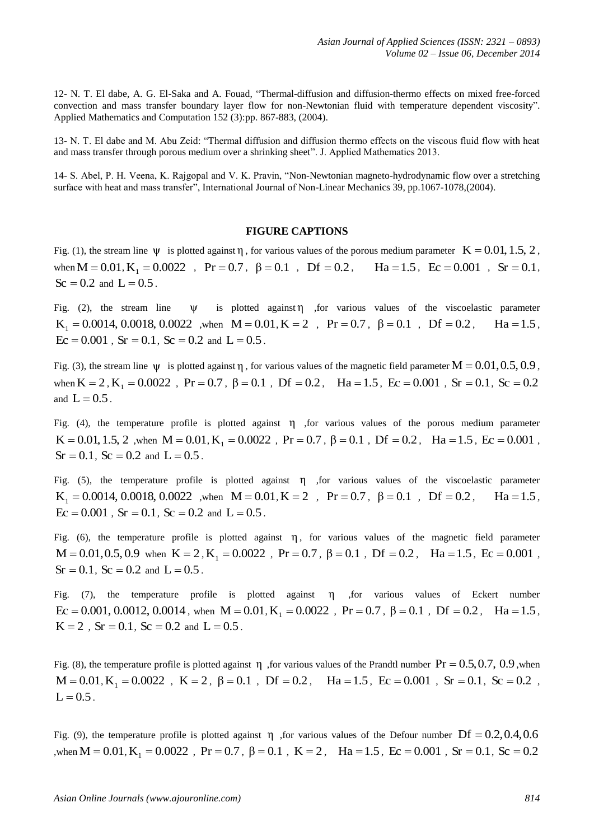12- N. T. El dabe, A. G. El-Saka and A. Fouad, "Thermal-diffusion and diffusion-thermo effects on mixed free-forced convection and mass transfer boundary layer flow for non-Newtonian fluid with temperature dependent viscosity". Applied Mathematics and Computation 152 (3):pp. 867-883, (2004).

13- N. T. El dabe and M. Abu Zeid: "Thermal diffusion and diffusion thermo effects on the viscous fluid flow with heat and mass transfer through porous medium over a shrinking sheet". J. Applied Mathematics 2013.

14- S. Abel, P. H. Veena, K. Rajgopal and V. K. Pravin, "Non-Newtonian magneto-hydrodynamic flow over a stretching surface with heat and mass transfer", International Journal of Non-Linear Mechanics 39, pp.1067-1078,(2004).

## **FIGURE CAPTIONS**

Fig. (1), the stream line  $\psi$  is plotted against  $\eta$ , for various values of the porous medium parameter  $K = 0.01, 1.5, 2$ , when  $M = 0.01$ ,  $K_1 = 0.0022$ ,  $Pr = 0.7$ ,  $\beta = 0.1$ ,  $Df = 0.2$ ,  $Ha = 1.5$ ,  $Ec = 0.001$ ,  $Sr = 0.1$ ,  $\text{Sc} = 0.2 \text{ and } L = 0.5$ .

Fig. (2), the stream line ψ is plotted against η ,for various values of the viscoelastic parameter  $K_1 = 0.0014, 0.0018, 0.0022$  , when  $M = 0.01, K = 2$ ,  $Pr = 0.7, \beta = 0.1$ ,  $Df = 0.2, \text{ Ha} = 1.5$ ,  $Ec = 0.001$ ,  $Sr = 0.1$ ,  $Sc = 0.2$  and  $L = 0.5$ .

Fig. (3), the stream line  $\psi$  is plotted against  $\eta$ , for various values of the magnetic field parameter  $M = 0.01, 0.5, 0.9$ , when  $K = 2$ ,  $K_1 = 0.0022$ ,  $Pr = 0.7$ ,  $\beta = 0.1$ ,  $Df = 0.2$ ,  $Ha = 1.5$ ,  $Ec = 0.001$ ,  $Sr = 0.1$ ,  $Sc = 0.2$ and  $L = 0.5$ .

Fig. (4), the temperature profile is plotted against  $\eta$  , for various values of the porous medium parameter  $K = 0.01, 1.5, 2$  , when  $M = 0.01, K_1 = 0.0022$ ,  $Pr = 0.7$ ,  $\beta = 0.1$ ,  $Df = 0.2$ ,  $Ha = 1.5$ ,  $Ec = 0.001$ ,  $Sr = 0.1$ ,  $Sc = 0.2$  and  $L = 0.5$ .

Fig.  $(5)$ , the temperature profile is plotted against  $\eta$  , for various values of the viscoelastic parameter  $K_1 = 0.0014, 0.0018, 0.0022$  , when  $M = 0.01, K = 2$ ,  $Pr = 0.7, \beta = 0.1$ ,  $Df = 0.2$ ,  $Ha = 1.5$ ,  $Ec = 0.001$ ,  $Sr = 0.1$ ,  $Sc = 0.2$  and  $L = 0.5$ .

Fig. (6), the temperature profile is plotted against  $\eta$ , for various values of the magnetic field parameter  $M = 0.01, 0.5, 0.9$  when  $K = 2$ ,  $K_1 = 0.0022$ ,  $Pr = 0.7$ ,  $\beta = 0.1$ ,  $Df = 0.2$ ,  $Ha = 1.5$ ,  $Ec = 0.001$ ,  $Sr = 0.1$ ,  $Sc = 0.2$  and  $L = 0.5$ .

Fig. (7), the temperature profile is plotted against  $\eta$  , for various values of Eckert number  $Ec = 0.001, 0.0012, 0.0014$ , when  $M = 0.01, K_1 = 0.0022$ ,  $Pr = 0.7$ ,  $\beta = 0.1$ ,  $Df = 0.2$ ,  $Ha = 1.5$ ,  $K = 2$ ,  $Sr = 0.1$ ,  $Sc = 0.2$  and  $L = 0.5$ .

Fig. (8), the temperature profile is plotted against  $\eta$ , for various values of the Prandtl number  $Pr = 0.5, 0.7, 0.9$ , when  $M = 0.01, K_1 = 0.0022$ ,  $K = 2$ ,  $\beta = 0.1$ ,  $Df = 0.2$ ,  $Ha = 1.5$ ,  $Ec = 0.001$ ,  $Sr = 0.1$ ,  $Sc = 0.2$ ,  $L = 0.5$ .

Fig. (9), the temperature profile is plotted against  $\eta$ , for various values of the Defour number Df = 0.2,0.4,0.6 , when  $M = 0.01$ ,  $K_1 = 0.0022$ ,  $Pr = 0.7$ ,  $β = 0.1$ ,  $K = 2$ ,  $Ha = 1.5$ ,  $Ec = 0.001$ ,  $Sr = 0.1$ ,  $Sc = 0.2$